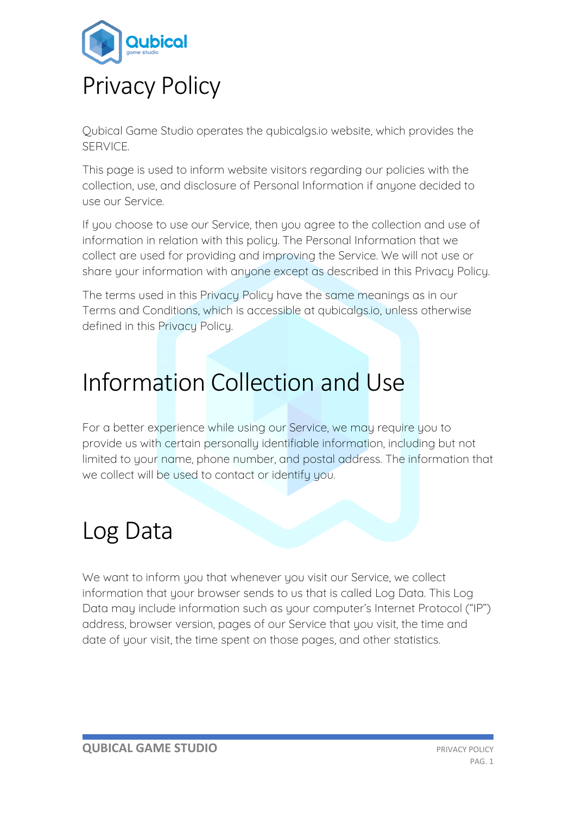

Qubical Game Studio operates the qubicalgs.io website, which provides the SERVICE.

This page is used to inform website visitors regarding our policies with the collection, use, and disclosure of Personal Information if anyone decided to use our Service.

If you choose to use our Service, then you agree to the collection and use of information in relation with this policy. The Personal Information that we collect are used for providing and improving the Service. We will not use or share your information with anyone except as described in this Privacy Policy.

The terms used in this Privacy Policy have the same meanings as in our Terms and Conditions, which is accessible at qubicalgs.io, unless otherwise defined in this Privacy Policy.

### Information Collection and Use

For a better experience while using our Service, we may require you to provide us with certain personally identifiable information, including but not limited to your name, phone number, and postal address. The information that we collect will be used to contact or identify you.

# Log Data

We want to inform you that whenever you visit our Service, we collect information that your browser sends to us that is called Log Data. This Log Data may include information such as your computer's Internet Protocol ("IP") address, browser version, pages of our Service that you visit, the time and date of your visit, the time spent on those pages, and other statistics.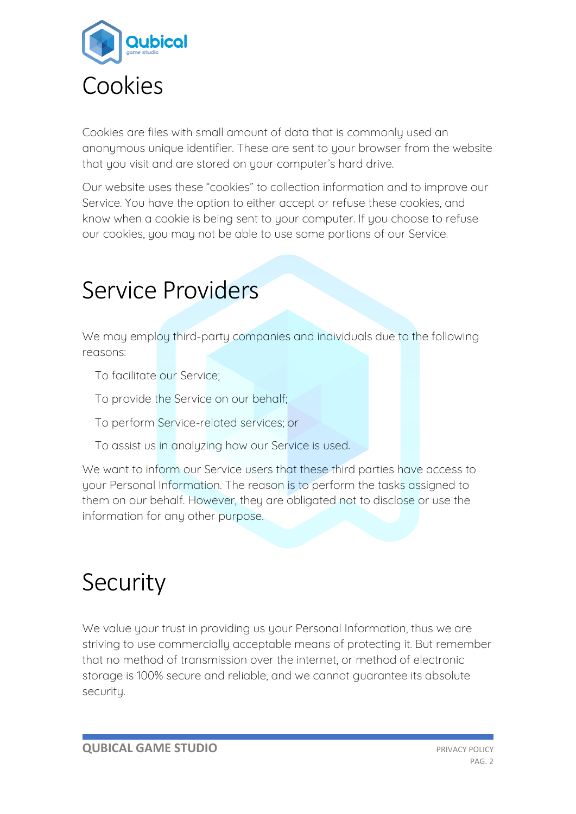

Cookies are files with small amount of data that is commonly used an anonymous unique identifier. These are sent to your browser from the website that you visit and are stored on your computer's hard drive.

Our website uses these "cookies" to collection information and to improve our Service. You have the option to either accept or refuse these cookies, and know when a cookie is being sent to your computer. If you choose to refuse our cookies, you may not be able to use some portions of our Service.

### Service Providers

We may employ third-party companies and individuals due to the following reasons:

- To facilitate our Service;
- To provide the Service on our behalf;
- To perform Service-related services; or
- To assist us in analyzing how our Service is used.

We want to inform our Service users that these third parties have access to your Personal Information. The reason is to perform the tasks assigned to them on our behalf. However, they are obligated not to disclose or use the information for any other purpose.

## Security

We value your trust in providing us your Personal Information, thus we are striving to use commercially acceptable means of protecting it. But remember that no method of transmission over the internet, or method of electronic storage is 100% secure and reliable, and we cannot guarantee its absolute security.